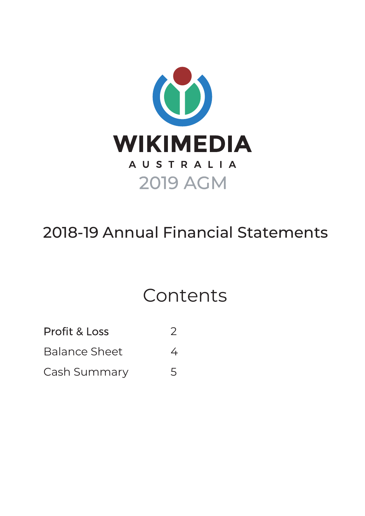

## 2018-19 Annual Financial Statements

# Contents

Profit & Loss 2

Balance Sheet 4

Cash Summary 5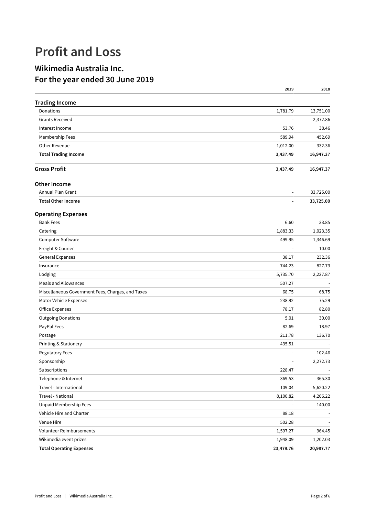### **Profit and Loss**

#### **Wikimedia Australia Inc. For the year ended 30 June 2019**

|                                                   | 2019           | 2018      |
|---------------------------------------------------|----------------|-----------|
| <b>Trading Income</b>                             |                |           |
| Donations                                         | 1,781.79       | 13,751.00 |
| <b>Grants Received</b>                            |                | 2,372.86  |
| Interest Income                                   | 53.76          | 38.46     |
| Membership Fees                                   | 589.94         | 452.69    |
| Other Revenue                                     | 1,012.00       | 332.36    |
| <b>Total Trading Income</b>                       | 3,437.49       | 16,947.37 |
| <b>Gross Profit</b>                               | 3,437.49       | 16,947.37 |
| <b>Other Income</b>                               |                |           |
| Annual Plan Grant                                 | $\blacksquare$ | 33,725.00 |
| <b>Total Other Income</b>                         |                | 33,725.00 |
| <b>Operating Expenses</b>                         |                |           |
| <b>Bank Fees</b>                                  | 6.60           | 33.85     |
| Catering                                          | 1,883.33       | 1,023.35  |
| Computer Software                                 | 499.95         | 1,346.69  |
| Freight & Courier                                 | $\blacksquare$ | 10.00     |
| <b>General Expenses</b>                           | 38.17          | 232.36    |
| Insurance                                         | 744.23         | 827.73    |
| Lodging                                           | 5,735.70       | 2,227.87  |
| Meals and Allowances                              | 507.27         |           |
| Miscellaneous Government Fees, Charges, and Taxes | 68.75          | 68.75     |
| Motor Vehicle Expenses                            | 238.92         | 75.29     |
| <b>Office Expenses</b>                            | 78.17          | 82.80     |
| <b>Outgoing Donations</b>                         | 5.01           | 30.00     |
| PayPal Fees                                       | 82.69          | 18.97     |
| Postage                                           | 211.78         | 136.70    |
| Printing & Stationery                             | 435.51         |           |
| <b>Regulatory Fees</b>                            |                | 102.46    |
| Sponsorship                                       |                | 2,272.73  |
| Subscriptions                                     | 228.47         |           |
| Telephone & Internet                              | 369.53         | 365.30    |
| Travel - International                            | 109.04         | 5,620.22  |
| Travel - National                                 | 8,100.82       | 4,206.22  |
| Unpaid Membership Fees                            |                | 140.00    |
| Vehicle Hire and Charter                          | 88.18          |           |
| Venue Hire                                        | 502.28         |           |
| Volunteer Reimbursements                          | 1,597.27       | 964.45    |
| Wikimedia event prizes                            | 1,948.09       | 1,202.03  |
| <b>Total Operating Expenses</b>                   | 23,479.76      | 20,987.77 |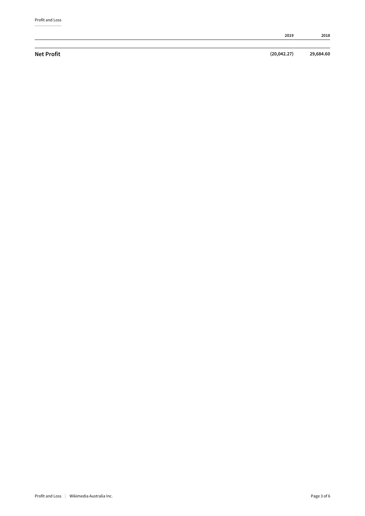|                   | 2019         | 2018      |
|-------------------|--------------|-----------|
|                   |              |           |
| <b>Net Profit</b> | (20, 042.27) | 29,684.60 |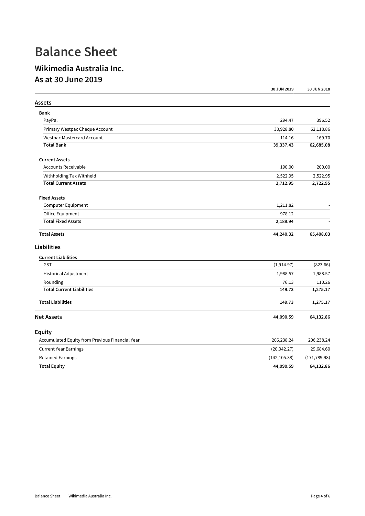### **Balance Sheet**

#### **Wikimedia Australia Inc. As at 30 June 2019**

|                                                 | 30 JUN 2019   | 30 JUN 2018   |
|-------------------------------------------------|---------------|---------------|
| Assets                                          |               |               |
| Bank                                            |               |               |
| PayPal                                          | 294.47        | 396.52        |
| Primary Westpac Cheque Account                  | 38,928.80     | 62,118.86     |
| <b>Westpac Mastercard Account</b>               | 114.16        | 169.70        |
| <b>Total Bank</b>                               | 39,337.43     | 62,685.08     |
| <b>Current Assets</b>                           |               |               |
| <b>Accounts Receivable</b>                      | 190.00        | 200.00        |
| Withholding Tax Withheld                        | 2,522.95      | 2,522.95      |
| <b>Total Current Assets</b>                     | 2,712.95      | 2,722.95      |
| <b>Fixed Assets</b>                             |               |               |
| Computer Equipment                              | 1,211.82      |               |
| Office Equipment                                | 978.12        |               |
| <b>Total Fixed Assets</b>                       | 2,189.94      |               |
| <b>Total Assets</b>                             | 44,240.32     | 65,408.03     |
| Liabilities                                     |               |               |
| <b>Current Liabilities</b>                      |               |               |
| <b>GST</b>                                      | (1,914.97)    | (823.66)      |
| Historical Adjustment                           | 1,988.57      | 1,988.57      |
| Rounding                                        | 76.13         | 110.26        |
| <b>Total Current Liabilities</b>                | 149.73        | 1,275.17      |
| <b>Total Liabilities</b>                        | 149.73        | 1,275.17      |
| <b>Net Assets</b>                               | 44,090.59     | 64,132.86     |
| <b>Equity</b>                                   |               |               |
| Accumulated Equity from Previous Financial Year | 206,238.24    | 206,238.24    |
| <b>Current Year Earnings</b>                    | (20, 042.27)  | 29,684.60     |
| <b>Retained Earnings</b>                        | (142, 105.38) | (171, 789.98) |
| <b>Total Equity</b>                             | 44,090.59     | 64,132.86     |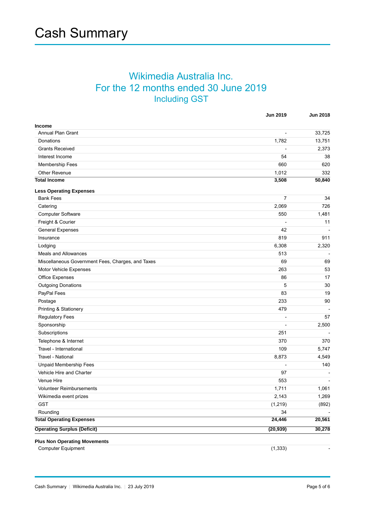#### Wikimedia Australia Inc. For the 12 months ended 30 June 2019 Including GST

|                                                   | <b>Jun 2019</b> | <b>Jun 2018</b> |
|---------------------------------------------------|-----------------|-----------------|
| <b>Income</b>                                     |                 |                 |
| Annual Plan Grant                                 | $\overline{a}$  | 33,725          |
| Donations                                         | 1,782           | 13,751          |
| <b>Grants Received</b>                            |                 | 2,373           |
| Interest Income                                   | 54              | 38              |
| Membership Fees                                   | 660             | 620             |
| Other Revenue                                     | 1,012           | 332             |
| <b>Total Income</b>                               | 3,508           | 50,840          |
| <b>Less Operating Expenses</b>                    |                 |                 |
| <b>Bank Fees</b>                                  | 7               | 34              |
| Catering                                          | 2,069           | 726             |
| Computer Software                                 | 550             | 1,481           |
| Freight & Courier                                 |                 | 11              |
| <b>General Expenses</b>                           | 42              |                 |
| Insurance                                         | 819             | 911             |
| Lodging                                           | 6,308           | 2,320           |
| Meals and Allowances                              | 513             |                 |
| Miscellaneous Government Fees, Charges, and Taxes | 69              | 69              |
| Motor Vehicle Expenses                            | 263             | 53              |
| Office Expenses                                   | 86              | 17              |
| <b>Outgoing Donations</b>                         | 5               | 30              |
| PayPal Fees                                       | 83              | 19              |
| Postage                                           | 233             | 90              |
| Printing & Stationery                             | 479             |                 |
| Regulatory Fees                                   |                 | 57              |
| Sponsorship                                       |                 | 2,500           |
| Subscriptions                                     | 251             |                 |
| Telephone & Internet                              | 370             | 370             |
| Travel - International                            | 109             | 5,747           |
| Travel - National                                 | 8,873           | 4,549           |
| <b>Unpaid Membership Fees</b>                     | $\overline{a}$  | 140             |
| Vehicle Hire and Charter                          | 97              |                 |
| Venue Hire                                        | 553             |                 |
| Volunteer Reimbursements                          | 1,711           | 1,061           |
| Wikimedia event prizes                            | 2,143           | 1,269           |
| <b>GST</b>                                        | (1, 219)        | (892)           |
| Rounding                                          | 34              |                 |
| <b>Total Operating Expenses</b>                   | 24,446          | 20,561          |
| <b>Operating Surplus (Deficit)</b>                | (20, 939)       | 30,278          |
| <b>Plus Non Operating Movements</b>               |                 |                 |
| <b>Computer Equipment</b>                         | (1, 333)        |                 |